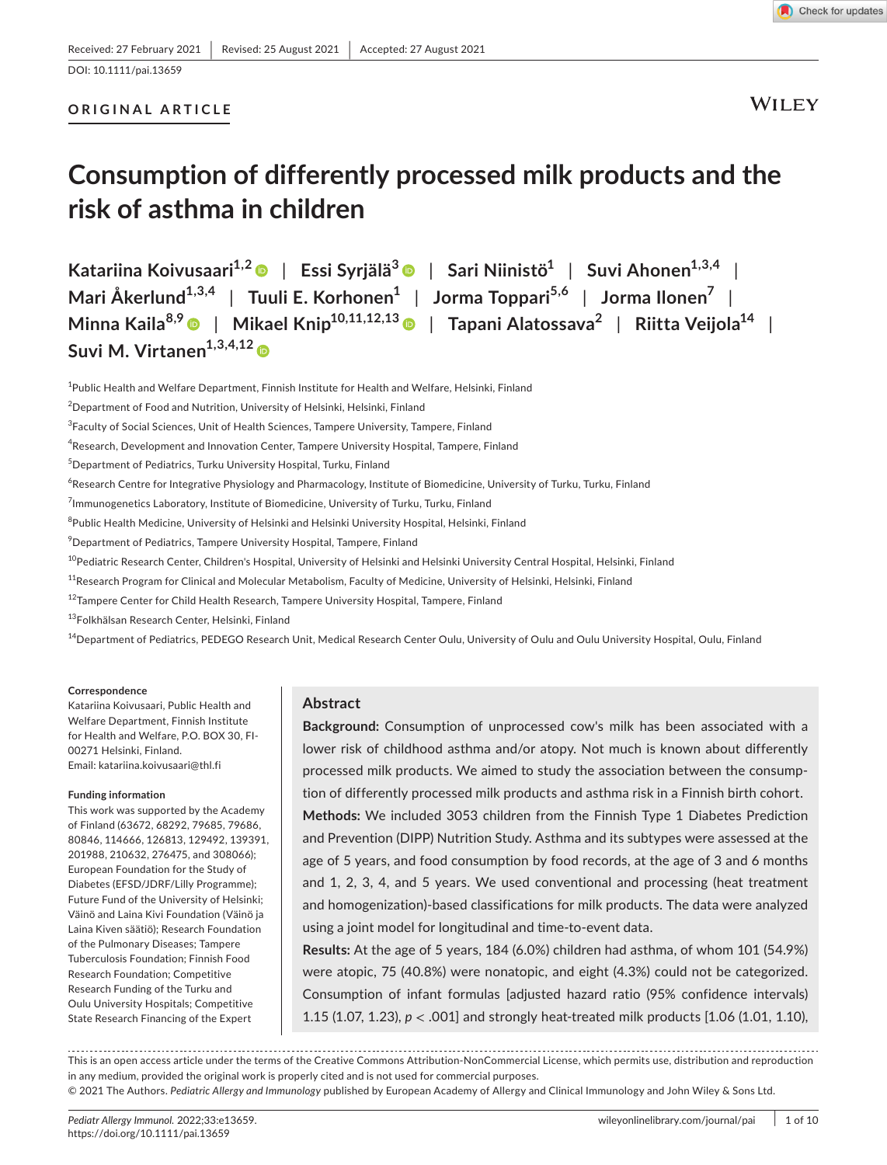DOI: 10.1111/pai.13659

# **ORIGINAL ARTICLE**

**WILEY** 

# **Consumption of differently processed milk products and the risk of asthma in children**

**Katariina Koivusaari1,[2](https://orcid.org/0000-0002-4269-4878)** | **Essi Syrjälä<sup>3</sup>** | **Sari Niinistö1** | **Suvi Ahonen1,3,4** | **Mari Åkerlund1,3,4** | **Tuuli E. Korhonen1** | **Jorma Toppari5,6** | **Jorma Ilonen7** | **Minna Kaila8,9** | **Mikael Knip10,11,12,1[3](https://orcid.org/0000-0003-0474-0033)** | **Tapani Alatossava<sup>2</sup>** | **Riitta Veijola14** | **Suvi M. Virtanen1,3,4,1[2](https://orcid.org/0000-0001-8928-0878)**

<sup>1</sup>Public Health and Welfare Department, Finnish Institute for Health and Welfare, Helsinki, Finland

 $^{2}$ Department of Food and Nutrition, University of Helsinki, Helsinki, Finland

 $^4$ Research, Development and Innovation Center, Tampere University Hospital, Tampere, Finland

5 Department of Pediatrics, Turku University Hospital, Turku, Finland

<sup>6</sup>Research Centre for Integrative Physiology and Pharmacology, Institute of Biomedicine, University of Turku, Turku, Finland

 $^7$ Immunogenetics Laboratory, Institute of Biomedicine, University of Turku, Turku, Finland

 $^8$ Public Health Medicine, University of Helsinki and Helsinki University Hospital, Helsinki, Finland

9 Department of Pediatrics, Tampere University Hospital, Tampere, Finland

<sup>10</sup>Pediatric Research Center, Children's Hospital, University of Helsinki and Helsinki University Central Hospital, Helsinki, Finland

<sup>12</sup>Tampere Center for Child Health Research, Tampere University Hospital, Tampere, Finland

13Folkhälsan Research Center, Helsinki, Finland

<sup>14</sup>Department of Pediatrics, PEDEGO Research Unit, Medical Research Center Oulu, University of Oulu and Oulu University Hospital, Oulu, Finland

#### **Correspondence**

Katariina Koivusaari, Public Health and Welfare Department, Finnish Institute for Health and Welfare, P.O. BOX 30, FI-00271 Helsinki, Finland. Email: [katariina.koivusaari@thl.fi](mailto:katariina.koivusaari@thl.fi)

#### **Funding information**

This work was supported by the Academy of Finland (63672, 68292, 79685, 79686, 80846, 114666, 126813, 129492, 139391, 201988, 210632, 276475, and 308066); European Foundation for the Study of Diabetes (EFSD/JDRF/Lilly Programme); Future Fund of the University of Helsinki; Väinö and Laina Kivi Foundation (Väinö ja Laina Kiven säätiö); Research Foundation of the Pulmonary Diseases; Tampere Tuberculosis Foundation; Finnish Food Research Foundation; Competitive Research Funding of the Turku and Oulu University Hospitals; Competitive State Research Financing of the Expert

# **Abstract**

**Background:** Consumption of unprocessed cow's milk has been associated with a lower risk of childhood asthma and/or atopy. Not much is known about differently processed milk products. We aimed to study the association between the consumption of differently processed milk products and asthma risk in a Finnish birth cohort.

**Methods:** We included 3053 children from the Finnish Type 1 Diabetes Prediction and Prevention (DIPP) Nutrition Study. Asthma and its subtypes were assessed at the age of 5 years, and food consumption by food records, at the age of 3 and 6 months and 1, 2, 3, 4, and 5 years. We used conventional and processing (heat treatment and homogenization)-based classifications for milk products. The data were analyzed using a joint model for longitudinal and time-to-event data.

**Results:** At the age of 5 years, 184 (6.0%) children had asthma, of whom 101 (54.9%) were atopic, 75 (40.8%) were nonatopic, and eight (4.3%) could not be categorized. Consumption of infant formulas [adjusted hazard ratio (95% confidence intervals) 1.15 (1.07, 1.23), *p* < .001] and strongly heat-treated milk products [1.06 (1.01, 1.10),

This is an open access article under the terms of the Creative Commons [Attribution-NonCommercial](http://creativecommons.org/licenses/by-nc/4.0/) License, which permits use, distribution and reproduction in any medium, provided the original work is properly cited and is not used for commercial purposes.

© 2021 The Authors. *Pediatric Allergy and Immunology* published by European Academy of Allergy and Clinical Immunology and John Wiley & Sons Ltd.

<sup>&</sup>lt;sup>3</sup>Faculty of Social Sciences, Unit of Health Sciences, Tampere University, Tampere, Finland

 $11$ Research Program for Clinical and Molecular Metabolism, Faculty of Medicine, University of Helsinki, Helsinki, Finland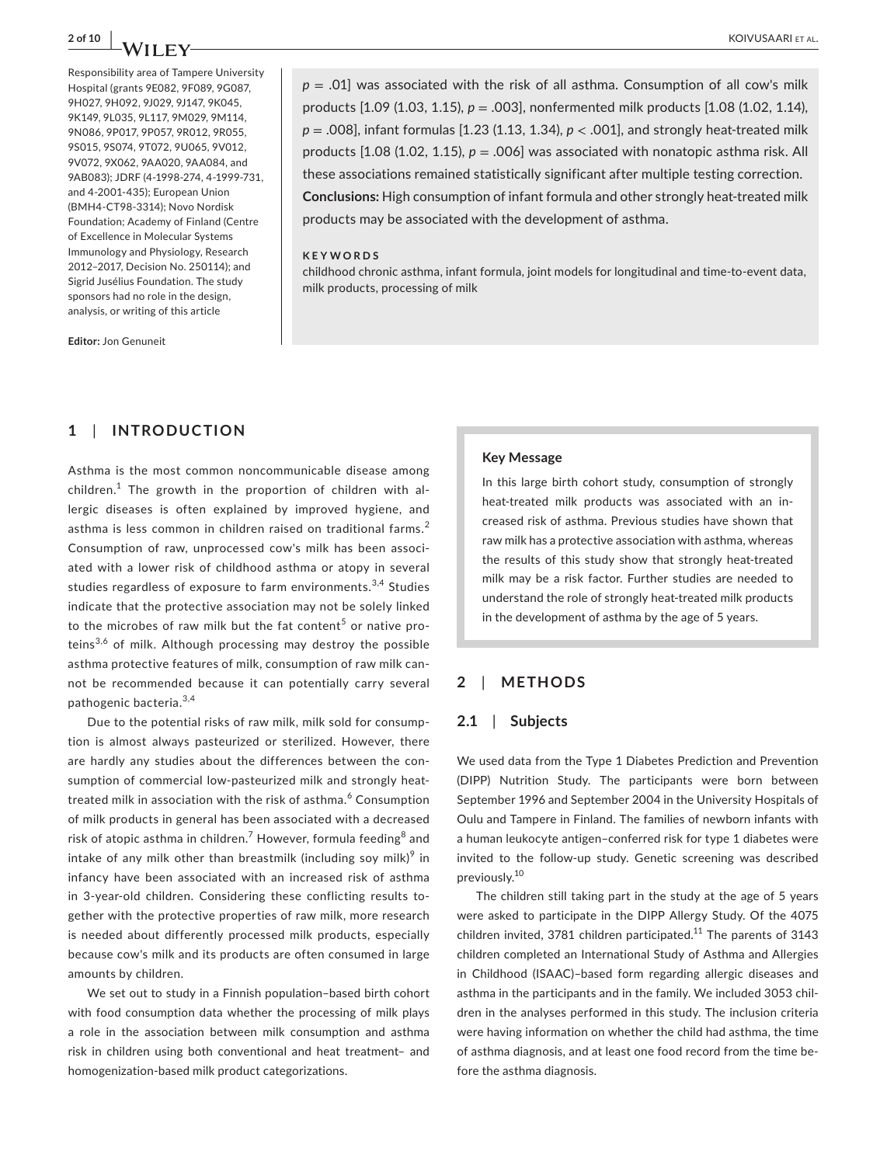Responsibility area of Tampere University Hospital (grants 9E082, 9F089, 9G087, 9H027, 9H092, 9J029, 9J147, 9K045, 9K149, 9L035, 9L117, 9M029, 9M114, 9N086, 9P017, 9P057, 9R012, 9R055, 9S015, 9S074, 9T072, 9U065, 9V012, 9V072, 9X062, 9AA020, 9AA084, and 9AB083); JDRF (4-1998-274, 4-1999-731, and 4-2001-435); European Union (BMH4-CT98-3314); Novo Nordisk Foundation; Academy of Finland (Centre of Excellence in Molecular Systems Immunology and Physiology, Research 2012–2017, Decision No. 250114); and Sigrid Jusélius Foundation. The study sponsors had no role in the design, analysis, or writing of this article

**2 of 10 <sup>|</sup>**  KOIVUSAARI et al.

 $p = 0.01$  was associated with the risk of all asthma. Consumption of all cow's milk products [1.09 (1.03, 1.15), *p* = .003], nonfermented milk products [1.08 (1.02, 1.14), *p* = .008], infant formulas [1.23 (1.13, 1.34), *p* < .001], and strongly heat-treated milk products [1.08 (1.02, 1.15), *p* = .006] was associated with nonatopic asthma risk. All these associations remained statistically significant after multiple testing correction. **Conclusions:** High consumption of infant formula and other strongly heat-treated milk products may be associated with the development of asthma.

### **KEYWORDS**

childhood chronic asthma, infant formula, joint models for longitudinal and time-to-event data, milk products, processing of milk

**Editor:** Jon Genuneit

# **1**  | **INTRODUCTION**

Asthma is the most common noncommunicable disease among children. $1$  The growth in the proportion of children with allergic diseases is often explained by improved hygiene, and asthma is less common in children raised on traditional farms.<sup>2</sup> Consumption of raw, unprocessed cow's milk has been associated with a lower risk of childhood asthma or atopy in several studies regardless of exposure to farm environments.<sup>3,4</sup> Studies indicate that the protective association may not be solely linked to the microbes of raw milk but the fat content<sup>5</sup> or native proteins<sup>3,6</sup> of milk. Although processing may destroy the possible asthma protective features of milk, consumption of raw milk cannot be recommended because it can potentially carry several pathogenic bacteria.<sup>3,4</sup>

Due to the potential risks of raw milk, milk sold for consumption is almost always pasteurized or sterilized. However, there are hardly any studies about the differences between the consumption of commercial low-pasteurized milk and strongly heattreated milk in association with the risk of asthma.<sup>6</sup> Consumption of milk products in general has been associated with a decreased risk of atopic asthma in children. $^7$  However, formula feeding $^8$  and intake of any milk other than breastmilk (including soy milk) $^9$  in infancy have been associated with an increased risk of asthma in 3-year-old children. Considering these conflicting results together with the protective properties of raw milk, more research is needed about differently processed milk products, especially because cow's milk and its products are often consumed in large amounts by children.

We set out to study in a Finnish population–based birth cohort with food consumption data whether the processing of milk plays a role in the association between milk consumption and asthma risk in children using both conventional and heat treatment– and homogenization-based milk product categorizations.

### **Key Message**

In this large birth cohort study, consumption of strongly heat-treated milk products was associated with an increased risk of asthma. Previous studies have shown that raw milk has a protective association with asthma, whereas the results of this study show that strongly heat-treated milk may be a risk factor. Further studies are needed to understand the role of strongly heat-treated milk products in the development of asthma by the age of 5 years.

## **2**  | **METHODS**

### **2.1**  | **Subjects**

We used data from the Type 1 Diabetes Prediction and Prevention (DIPP) Nutrition Study. The participants were born between September 1996 and September 2004 in the University Hospitals of Oulu and Tampere in Finland. The families of newborn infants with a human leukocyte antigen–conferred risk for type 1 diabetes were invited to the follow-up study. Genetic screening was described previously.10

The children still taking part in the study at the age of 5 years were asked to participate in the DIPP Allergy Study. Of the 4075 children invited, 3781 children participated.<sup>11</sup> The parents of 3143 children completed an International Study of Asthma and Allergies in Childhood (ISAAC)–based form regarding allergic diseases and asthma in the participants and in the family. We included 3053 children in the analyses performed in this study. The inclusion criteria were having information on whether the child had asthma, the time of asthma diagnosis, and at least one food record from the time before the asthma diagnosis.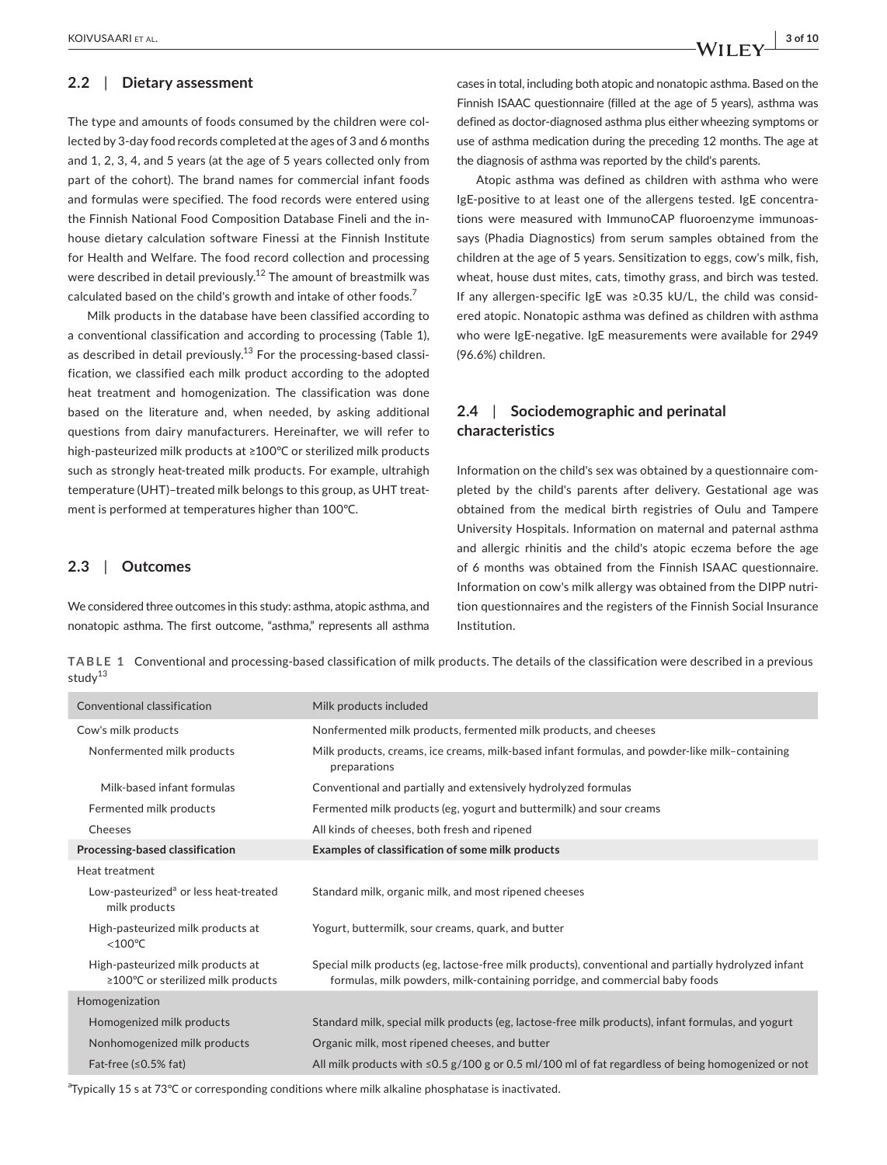## **2.2**  | **Dietary assessment**

The type and amounts of foods consumed by the children were collected by 3-day food records completed at the ages of 3 and 6 months and 1, 2, 3, 4, and 5 years (at the age of 5 years collected only from part of the cohort). The brand names for commercial infant foods and formulas were specified. The food records were entered using the Finnish National Food Composition Database Fineli and the inhouse dietary calculation software Finessi at the Finnish Institute for Health and Welfare. The food record collection and processing were described in detail previously.<sup>12</sup> The amount of breastmilk was calculated based on the child's growth and intake of other foods.<sup>7</sup>

Milk products in the database have been classified according to a conventional classification and according to processing (Table 1), as described in detail previously.<sup>13</sup> For the processing-based classification, we classified each milk product according to the adopted heat treatment and homogenization. The classification was done based on the literature and, when needed, by asking additional questions from dairy manufacturers. Hereinafter, we will refer to high-pasteurized milk products at ≥100℃ or sterilized milk products such as strongly heat-treated milk products. For example, ultrahigh temperature (UHT)–treated milk belongs to this group, as UHT treatment is performed at temperatures higher than 100℃.

### **2.3**  | **Outcomes**

We considered three outcomes in this study: asthma, atopic asthma, and nonatopic asthma. The first outcome, "asthma," represents all asthma cases in total, including both atopic and nonatopic asthma. Based on the Finnish ISAAC questionnaire (filled at the age of 5 years), asthma was defined as doctor-diagnosed asthma plus either wheezing symptoms or use of asthma medication during the preceding 12 months. The age at the diagnosis of asthma was reported by the child's parents.

Atopic asthma was defined as children with asthma who were IgE-positive to at least one of the allergens tested. IgE concentrations were measured with ImmunoCAP fluoroenzyme immunoassays (Phadia Diagnostics) from serum samples obtained from the children at the age of 5 years. Sensitization to eggs, cow's milk, fish, wheat, house dust mites, cats, timothy grass, and birch was tested. If any allergen-specific IgE was ≥0.35 kU/L, the child was considered atopic. Nonatopic asthma was defined as children with asthma who were IgE-negative. IgE measurements were available for 2949 (96.6%) children.

# **2.4**  | **Sociodemographic and perinatal characteristics**

Information on the child's sex was obtained by a questionnaire completed by the child's parents after delivery. Gestational age was obtained from the medical birth registries of Oulu and Tampere University Hospitals. Information on maternal and paternal asthma and allergic rhinitis and the child's atopic eczema before the age of 6 months was obtained from the Finnish ISAAC questionnaire. Information on cow's milk allergy was obtained from the DIPP nutrition questionnaires and the registers of the Finnish Social Insurance Institution.

**TABLE 1** Conventional and processing-based classification of milk products. The details of the classification were described in a previous stud $v^{13}$ 

| Conventional classification                                             | Milk products included                                                                                                                                                              |
|-------------------------------------------------------------------------|-------------------------------------------------------------------------------------------------------------------------------------------------------------------------------------|
| Cow's milk products                                                     | Nonfermented milk products, fermented milk products, and cheeses                                                                                                                    |
| Nonfermented milk products                                              | Milk products, creams, ice creams, milk-based infant formulas, and powder-like milk-containing<br>preparations                                                                      |
| Milk-based infant formulas                                              | Conventional and partially and extensively hydrolyzed formulas                                                                                                                      |
| Fermented milk products                                                 | Fermented milk products (eg, yogurt and buttermilk) and sour creams                                                                                                                 |
| Cheeses                                                                 | All kinds of cheeses, both fresh and ripened                                                                                                                                        |
| Processing-based classification                                         | Examples of classification of some milk products                                                                                                                                    |
| Heat treatment                                                          |                                                                                                                                                                                     |
| Low-pasteurized <sup>a</sup> or less heat-treated<br>milk products      | Standard milk, organic milk, and most ripened cheeses                                                                                                                               |
| High-pasteurized milk products at<br>$<$ 100 $\degree$ C                | Yogurt, buttermilk, sour creams, quark, and butter                                                                                                                                  |
| High-pasteurized milk products at<br>≥100°C or sterilized milk products | Special milk products (eg, lactose-free milk products), conventional and partially hydrolyzed infant<br>formulas, milk powders, milk-containing porridge, and commercial baby foods |
| Homogenization                                                          |                                                                                                                                                                                     |
| Homogenized milk products                                               | Standard milk, special milk products (eg, lactose-free milk products), infant formulas, and yogurt                                                                                  |
| Nonhomogenized milk products                                            | Organic milk, most ripened cheeses, and butter                                                                                                                                      |
| Fat-free $(50.5\%$ fat)                                                 | All milk products with $\leq$ 0.5 g/100 g or 0.5 ml/100 ml of fat regardless of being homogenized or not                                                                            |

<sup>a</sup>Typically 15 s at 73℃ or corresponding conditions where milk alkaline phosphatase is inactivated.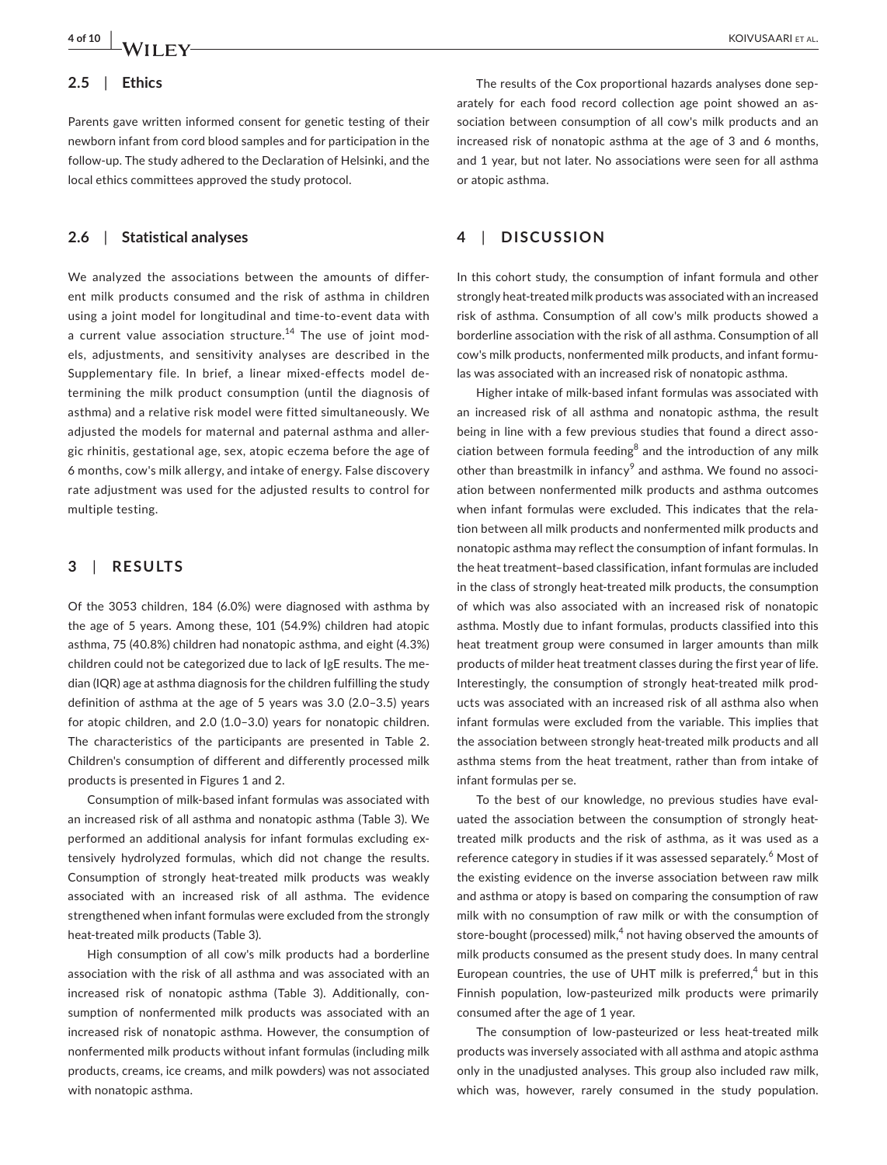# **2.5**  | **Ethics**

Parents gave written informed consent for genetic testing of their newborn infant from cord blood samples and for participation in the follow-up. The study adhered to the Declaration of Helsinki, and the local ethics committees approved the study protocol.

### **2.6**  | **Statistical analyses**

We analyzed the associations between the amounts of different milk products consumed and the risk of asthma in children using a joint model for longitudinal and time-to-event data with a current value association structure.<sup>14</sup> The use of joint models, adjustments, and sensitivity analyses are described in the Supplementary file. In brief, a linear mixed-effects model determining the milk product consumption (until the diagnosis of asthma) and a relative risk model were fitted simultaneously. We adjusted the models for maternal and paternal asthma and allergic rhinitis, gestational age, sex, atopic eczema before the age of 6 months, cow's milk allergy, and intake of energy. False discovery rate adjustment was used for the adjusted results to control for multiple testing.

# **3**  | **RESULTS**

Of the 3053 children, 184 (6.0%) were diagnosed with asthma by the age of 5 years. Among these, 101 (54.9%) children had atopic asthma, 75 (40.8%) children had nonatopic asthma, and eight (4.3%) children could not be categorized due to lack of IgE results. The median (IQR) age at asthma diagnosis for the children fulfilling the study definition of asthma at the age of 5 years was 3.0 (2.0–3.5) years for atopic children, and 2.0 (1.0–3.0) years for nonatopic children. The characteristics of the participants are presented in Table 2. Children's consumption of different and differently processed milk products is presented in Figures 1 and 2.

Consumption of milk-based infant formulas was associated with an increased risk of all asthma and nonatopic asthma (Table 3). We performed an additional analysis for infant formulas excluding extensively hydrolyzed formulas, which did not change the results. Consumption of strongly heat-treated milk products was weakly associated with an increased risk of all asthma. The evidence strengthened when infant formulas were excluded from the strongly heat-treated milk products (Table 3).

High consumption of all cow's milk products had a borderline association with the risk of all asthma and was associated with an increased risk of nonatopic asthma (Table 3). Additionally, consumption of nonfermented milk products was associated with an increased risk of nonatopic asthma. However, the consumption of nonfermented milk products without infant formulas (including milk products, creams, ice creams, and milk powders) was not associated with nonatopic asthma.

The results of the Cox proportional hazards analyses done separately for each food record collection age point showed an association between consumption of all cow's milk products and an increased risk of nonatopic asthma at the age of 3 and 6 months, and 1 year, but not later. No associations were seen for all asthma or atopic asthma.

# **4**  | **DISCUSSION**

In this cohort study, the consumption of infant formula and other strongly heat-treated milk products was associated with an increased risk of asthma. Consumption of all cow's milk products showed a borderline association with the risk of all asthma. Consumption of all cow's milk products, nonfermented milk products, and infant formulas was associated with an increased risk of nonatopic asthma.

Higher intake of milk-based infant formulas was associated with an increased risk of all asthma and nonatopic asthma, the result being in line with a few previous studies that found a direct association between formula feeding<sup>8</sup> and the introduction of any milk other than breastmilk in infancy<sup>9</sup> and asthma. We found no association between nonfermented milk products and asthma outcomes when infant formulas were excluded. This indicates that the relation between all milk products and nonfermented milk products and nonatopic asthma may reflect the consumption of infant formulas. In the heat treatment–based classification, infant formulas are included in the class of strongly heat-treated milk products, the consumption of which was also associated with an increased risk of nonatopic asthma. Mostly due to infant formulas, products classified into this heat treatment group were consumed in larger amounts than milk products of milder heat treatment classes during the first year of life. Interestingly, the consumption of strongly heat-treated milk products was associated with an increased risk of all asthma also when infant formulas were excluded from the variable. This implies that the association between strongly heat-treated milk products and all asthma stems from the heat treatment, rather than from intake of infant formulas per se.

To the best of our knowledge, no previous studies have evaluated the association between the consumption of strongly heattreated milk products and the risk of asthma, as it was used as a reference category in studies if it was assessed separately.<sup>6</sup> Most of the existing evidence on the inverse association between raw milk and asthma or atopy is based on comparing the consumption of raw milk with no consumption of raw milk or with the consumption of store-bought (processed) milk,<sup>4</sup> not having observed the amounts of milk products consumed as the present study does. In many central European countries, the use of UHT milk is preferred, $4$  but in this Finnish population, low-pasteurized milk products were primarily consumed after the age of 1 year.

The consumption of low-pasteurized or less heat-treated milk products was inversely associated with all asthma and atopic asthma only in the unadjusted analyses. This group also included raw milk, which was, however, rarely consumed in the study population.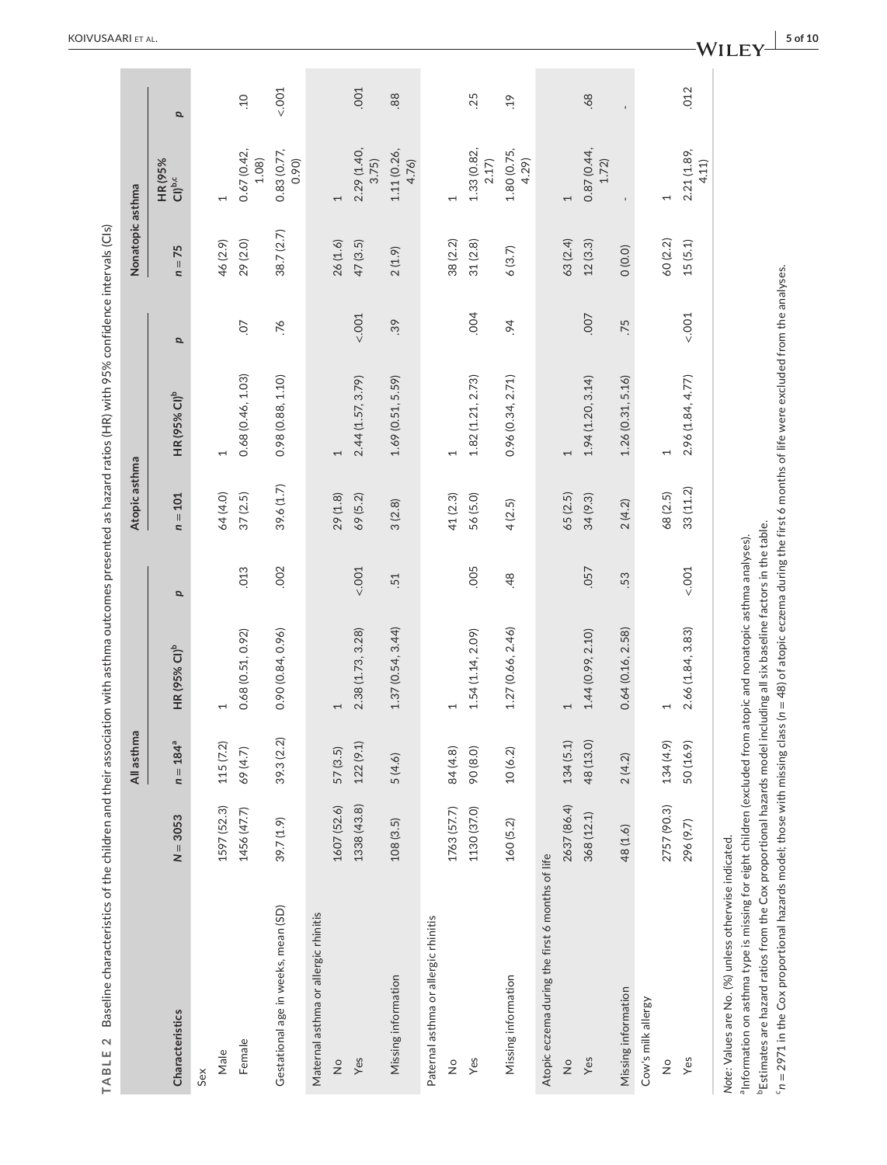|                                                                                                                                                                                                                                                                        |             | All asthma    |                                        |                  | Atopic asthma |                                |      | Nonatopic asthma |                               |                 |
|------------------------------------------------------------------------------------------------------------------------------------------------------------------------------------------------------------------------------------------------------------------------|-------------|---------------|----------------------------------------|------------------|---------------|--------------------------------|------|------------------|-------------------------------|-----------------|
| Characteristics                                                                                                                                                                                                                                                        | $N = 3053$  | $n = 184^{a}$ | <b>HR (95% CI)</b> <sup>b</sup>        | p                | $n = 101$     | <b>HR (95% CI)<sup>b</sup></b> | p    | $n = 75$         | HR (95%<br>CI) <sup>b,c</sup> | p               |
| Sex                                                                                                                                                                                                                                                                    |             |               |                                        |                  |               |                                |      |                  |                               |                 |
| Male                                                                                                                                                                                                                                                                   | 1597 (52.3) | 115(7.2)      | 1                                      |                  | 64 (4.0)      | 1                              |      | 46(2.9)          | $\overline{ }$                |                 |
| Female                                                                                                                                                                                                                                                                 | 1456 (47.7) | 69 (4.7)      | 0.68(0.51, 0.92)                       | .013             | 37(2.5)       | 0.68 (0.46, 1.03)              | СÓ.  | 29 (2.0)         | 0.67 (0.42)<br>1.08           | $\overline{10}$ |
| Gestational age in weeks, mean (SD)                                                                                                                                                                                                                                    | 39.7 (1.9)  | 39.3 (2.2)    | 0.90(0.84, 0.96)                       | .002             | 39.6 (1.7)    | 0.98 (0.88, 1.10)              | 76   | 38.7 (2.7)       | 0.83 (0.77,<br>0.90)          | $001 -$         |
| Maternal asthma or allergic rhinitis                                                                                                                                                                                                                                   |             |               |                                        |                  |               |                                |      |                  |                               |                 |
| $\frac{1}{2}$                                                                                                                                                                                                                                                          | 1607 (52.6) | 57 (3.5)      |                                        |                  | 29 (1.8)      | 1                              |      | 26(1.6)          | 1                             |                 |
| Yes                                                                                                                                                                                                                                                                    | 1338 (43.8) | 122(9.1)      | 2.38 (1.73, 3.28)                      | 001              | 69 (5.2)      | 2.44(1.57, 3.79)               | 001  | 47(3.5)          | 2.29 (1.40,<br>3.75           | .001            |
| Missing information                                                                                                                                                                                                                                                    | 108(3.5)    | 5(4.6)        | 1.37(0.54, 3.44)                       | .51              | 3(2.8)        | 1.69(0.51, 5.59)               | .39  | 2(1.9)           | 1.11 (0.26,<br>4.76)          | 88.             |
| Paternal asthma or allergic rhinitis                                                                                                                                                                                                                                   |             |               |                                        |                  |               |                                |      |                  |                               |                 |
| $\frac{1}{2}$                                                                                                                                                                                                                                                          | 1763 (57.7) | 84 (4.8)      |                                        |                  | 41 (2.3)      |                                |      | 38 (2.2)         | 1                             |                 |
| Yes                                                                                                                                                                                                                                                                    | 1130 (37.0) | 90 (8.0)      | 1.54 (1.14, 2.09)                      | .005             | 56 (5.0)      | 1.82 (1.21, 2.73)              | .004 | 31(2.8)          | 1.33 (0.82,<br>2.17)          | .25             |
| Missing information                                                                                                                                                                                                                                                    | 160 (5.2)   | 10(6.2)       | 1.27 (0.66, 2.46)                      | 48               | 4(2.5)        | 0.96 (0.34, 2.71)              | 64   | 6(3.7)           | 1.80 (0.75,<br>4.29)          | .19             |
| Atopic eczema during the first 6 months of life                                                                                                                                                                                                                        |             |               |                                        |                  |               |                                |      |                  |                               |                 |
| $\frac{1}{2}$                                                                                                                                                                                                                                                          | 2637 (86.4) | 134(5.1)      |                                        |                  | 65 (2.5)      | 1                              |      | 63 (2.4)         | 1                             |                 |
| Yes                                                                                                                                                                                                                                                                    | 368 (12.1)  | 48 (13.0)     | 1.44 (0.99, 2.10)                      | .057             | 34 (9.3)      | 1.94(1.20, 3.14)               | ,007 | 12(3.3)          | 0.87 (0.44,<br>1.72)          | .68             |
| Missing information                                                                                                                                                                                                                                                    | 48 (1.6)    | 2(4.2)        | 0.64(0.16, 2.58)                       | 53               | 2(4.2)        | 1.26(0.31, 5.16)               | .75  | 0(0.0)           | $\mathbf{I}$                  |                 |
| Cow's milk allergy                                                                                                                                                                                                                                                     |             |               |                                        |                  |               |                                |      |                  |                               |                 |
| $\stackrel{\circ}{\simeq}$                                                                                                                                                                                                                                             | 2757 (90.3) | 134(4.9)      | 1                                      |                  | 68 (2.5)      | 1                              |      | 60 (2.2)         | $\overline{\phantom{0}}$      |                 |
| Yes                                                                                                                                                                                                                                                                    | 296 (9.7)   | 50 (16.9)     | 2.66 (1.84, 3.83)                      | 001 <sub>2</sub> | 33(11.2)      | 2.96 (1.84, 4.77)              | 001  | 15(5.1)          | 2.21 (1.89,<br>4.11           | .012            |
| <sup>b</sup> Estimates are hazard ratios from the Cox proportional hazards model including all six baseline factors in the table.<br>a Information on asthma type is missing for eight children (excluded from<br>Note: Values are No. (%) unless otherwise indicated. |             |               | atopic and nonatopic asthma analyses). |                  |               |                                |      |                  |                               |                 |

 KOIVUSAARI et al.

 $c_{n}$  = 2971 in the Cox proportional hazards model; those with missing class ( $n = 48$ ) of atopic eczema during the first 6 months of life were excluded from the analyses. c*n* = 2971 in the Cox proportional hazards model; those with missing class (*n* = 48) of atopic eczema during the first 6 months of life were excluded from the analyses.

**<sup>|</sup> 5 of 10**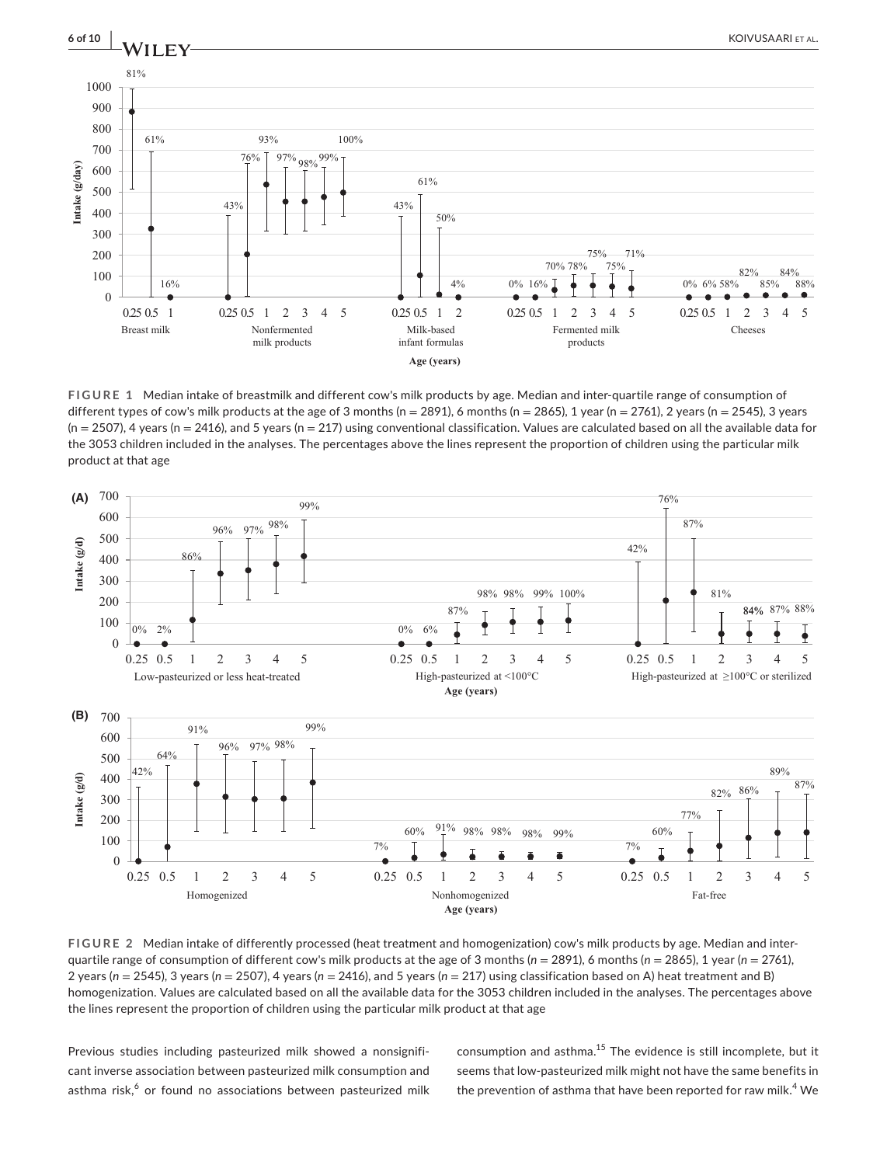

**FIGURE 1** Median intake of breastmilk and different cow's milk products by age. Median and inter-quartile range of consumption of different types of cow's milk products at the age of 3 months (n = 2891), 6 months (n = 2865), 1 year (n = 2761), 2 years (n = 2545), 3 years  $(n = 2507)$ , 4 years  $(n = 2416)$ , and 5 years  $(n = 217)$  using conventional classification. Values are calculated based on all the available data for the 3053 children included in the analyses. The percentages above the lines represent the proportion of children using the particular milk product at that age



**FIGURE 2** Median intake of differently processed (heat treatment and homogenization) cow's milk products by age. Median and interquartile range of consumption of different cow's milk products at the age of 3 months (*n* = 2891), 6 months (*n* = 2865), 1 year (*n* = 2761), 2 years (*n* = 2545), 3 years (*n* = 2507), 4 years (*n* = 2416), and 5 years (*n* = 217) using classification based on A) heat treatment and B) homogenization. Values are calculated based on all the available data for the 3053 children included in the analyses. The percentages above

Previous studies including pasteurized milk showed a nonsignificant inverse association between pasteurized milk consumption and asthma risk, $^6$  or found no associations between pasteurized milk consumption and asthma.15 The evidence is still incomplete, but it seems that low-pasteurized milk might not have the same benefits in the prevention of asthma that have been reported for raw milk.<sup>4</sup> We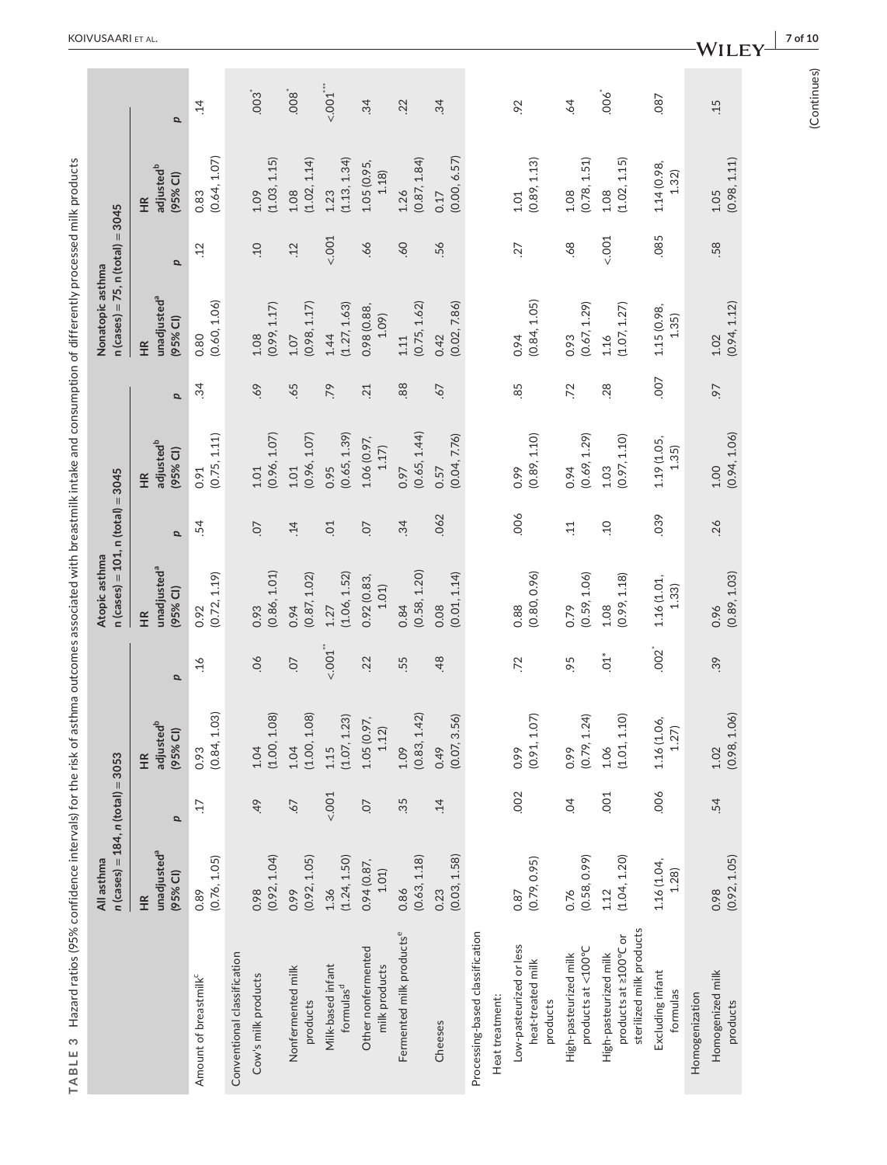|                                                                            | $n$ (cases) = 184, $n$ (total) = 3053<br>All asthma |                 |                                                        |                | $n (cases) = 101, n (total) = 3045$<br>Atopic asthma  |                 |                                         |            | $n (cases) = 75, n (total) = 3045$<br>Nonatopic asthma |            |                                         |                 |
|----------------------------------------------------------------------------|-----------------------------------------------------|-----------------|--------------------------------------------------------|----------------|-------------------------------------------------------|-----------------|-----------------------------------------|------------|--------------------------------------------------------|------------|-----------------------------------------|-----------------|
|                                                                            | unadjusted <sup>a</sup><br>(95% CI)<br>H            | $\mathbf{a}$    | adjusted <sup>b</sup><br>(95% CI)<br>$\widetilde{\Xi}$ | p              | unadjusted <sup>a</sup><br>(95% CI)<br>H <sub>K</sub> | p               | adjusted <sup>b</sup><br>(95% Cl)<br>HR | p          | unadjusted <sup>a</sup><br>(95% CI)<br>H               | p          | adjusted <sup>b</sup><br>(95% CI)<br>ΗŘ | $\mathbf{a}$    |
| Amount of breastmilk <sup>c</sup>                                          | (0.76, 1.05)<br>0.89                                | $\overline{17}$ | 1.03)<br>(0.84,<br>0.93                                | $-16$          | (0.72, 1.19)<br>0.92                                  | .54             | (0.75, 1.11)<br>0.91                    | $\ddot{3}$ | (0.60, 1.06)<br>0.80                                   | $\ddot{c}$ | $0.83$<br>$(0.64, 1.07)$                | $\ddot{1}4$     |
| Conventional classification                                                |                                                     |                 |                                                        |                |                                                       |                 |                                         |            |                                                        |            |                                         |                 |
| Cow's milk products                                                        | (0.92, 1.04)<br>0.98                                | 49              | 1.08<br>(1.00,<br>1.04                                 | $\infty$       | (0.86, 1.01)<br>0.93                                  | CO.             | (0.96, 1.07)<br>$1.01$                  | 69.        | (0.99, 1.17)<br>1.08                                   | 01         | (1.03, 1.15)<br>1.09                    | 003             |
| Nonfermented milk<br>products                                              | (0.92, 1.05)<br>0.99                                | -67             | 1.08<br>(1.00, 1)<br>1.04                              | CO.            | (0.87, 1.02)<br>0.94                                  | $\ddot{1}4$     | (0.96, 1.07)<br>1.01                    | .65        | (0.98, 1.17)<br>1.07                                   | .12        | (1.02, 1.14)<br>1.08                    | .008            |
| Milk-based infant<br>formulas <sup>d</sup>                                 | (1.24, 1.50)<br>1.36                                | 001             | (1.07, 1.23)<br>1.15                                   | < 0.001        | (1.06, 1.52)<br>1.27                                  | $\overline{C}$  | (0.65, 1.39)<br>0.95                    | .79        | (1.27, 1.63)<br>1.44                                   | 001        | (1.13, 1.34)<br>1.23                    | ~1001           |
| Other nonfermented<br>milk products                                        | 0.94 (0.87,<br>1.01)                                | O.              | 1.05(0.97, 1.12)                                       | .22            | 0.92 (0.83,<br>1.01)                                  | CO.             | 1.06 (0.97,<br>1.17                     | .21        | 0.98 (0.88,<br>1.09)                                   | .66        | 1.05 (0.95,<br>1.18                     | 34              |
| Fermented milk productse                                                   | (0.63, 1.18)<br>0.86                                | 35              | 1.42)<br>(0.83,<br>1.09                                | 55             | (0.58, 1.20)<br>0.84                                  | 34              | (0.65, 1.44)<br>0.97                    | .88        | (0.75, 1.62)<br>1.11                                   | .60        | (0.87, 1.84)<br>1.26                    | .22             |
| Cheeses                                                                    | (0.03, 1.58)<br>0.23                                | $\ddot{1}$      | (0.07, 3.56)<br>0.49                                   | 48             | (0.01, 1.14)<br>0.08                                  | .062            | (0.04, 7.76)<br>0.57                    | 67         | (0.02, 7.86)<br>0.42                                   | 56         | (0.00, 6.57)<br>0.17                    | 34              |
| Processing-based classification                                            |                                                     |                 |                                                        |                |                                                       |                 |                                         |            |                                                        |            |                                         |                 |
| Heat treatment:                                                            |                                                     |                 |                                                        |                |                                                       |                 |                                         |            |                                                        |            |                                         |                 |
| Low-pasteurized or less<br>heat-treated milk<br>products                   | (0.79, 0.95)<br>0.87                                | .002            | 1.07<br>(0.91, 1)<br>0.99                              | .72            | (0.80, 0.96)<br>0.88                                  | 006             | (0.89, 1.10)<br>0.99                    | 85         | (0.84, 1.05)<br>0.94                                   | 27         | (0.89, 1.13)<br>$1.01$                  | .92             |
| products at <100°C<br>High-pasteurized milk                                | (0.58, 0.99)<br>0.76                                | $\overline{6}$  | (0.79, 1.24)<br>0.99                                   | 95             | (0.59, 1.06)<br>0.79                                  | $\overline{11}$ | (0.69, 1.29)<br>0.94                    | .72        | (0.67, 1.29)<br>0.93                                   | .68        | (0.78, 1.51)<br>1.08                    | $\overline{64}$ |
| sterilized milk products<br>products at ≥100°C or<br>High-pasteurized milk | (1.04, 1.20)<br>1.12                                | .001            | 1.10<br>(1.01, 1)<br>1.06                              | $\overline{5}$ | (0.99, 1.18)<br>1.08                                  | $\overline{10}$ | (0.97, 1.10)<br>1.03                    | .28        | (1.07, 1.27)<br>1.16                                   | $5001 -$   | (1.02, 1.15)<br>1.08                    | 006             |
| Excluding infant<br>formulas                                               | 1.16 (1.04,<br>1.28                                 | 006             | 1.16(1.06, 1.27)                                       | $rac{1}{2}$    | 1.16 (1.01,<br>1.33)                                  | 039             | 1.19 (1.05,<br>1.35)                    | 007        | 1.15 (0.98,<br>1.35)                                   | .085       | 1.14 (0.98,<br>1.32                     | 087             |
| Homogenization                                                             |                                                     |                 |                                                        |                |                                                       |                 |                                         |            |                                                        |            |                                         |                 |
| Homogenized milk<br>products                                               | (0.92, 1.05)<br>0.98                                | .54             | 1.06<br>(0.98,<br>1.02                                 | 39             | (0.89, 1.03)<br>0.96                                  | .26             | (0.94, 1.06)<br>1.00                    | -6         | (0.94, 1.12)<br>1.02                                   | .58        | (0.98, 1.11)<br>1.05                    | .15             |
|                                                                            |                                                     |                 |                                                        |                |                                                       |                 |                                         |            |                                                        |            |                                         |                 |

TABLE 3 Hazard ratios (95% confidence intervals) for the risk of asthma outcomes associated with breastmilk intake and consumption of differently processed milk products **TABLE 3** Hazard ratios (95% confidence intervals) for the risk of asthma outcomes associated with breastmilk intake and consumption of differently processed milk products

(Continues) (Continues)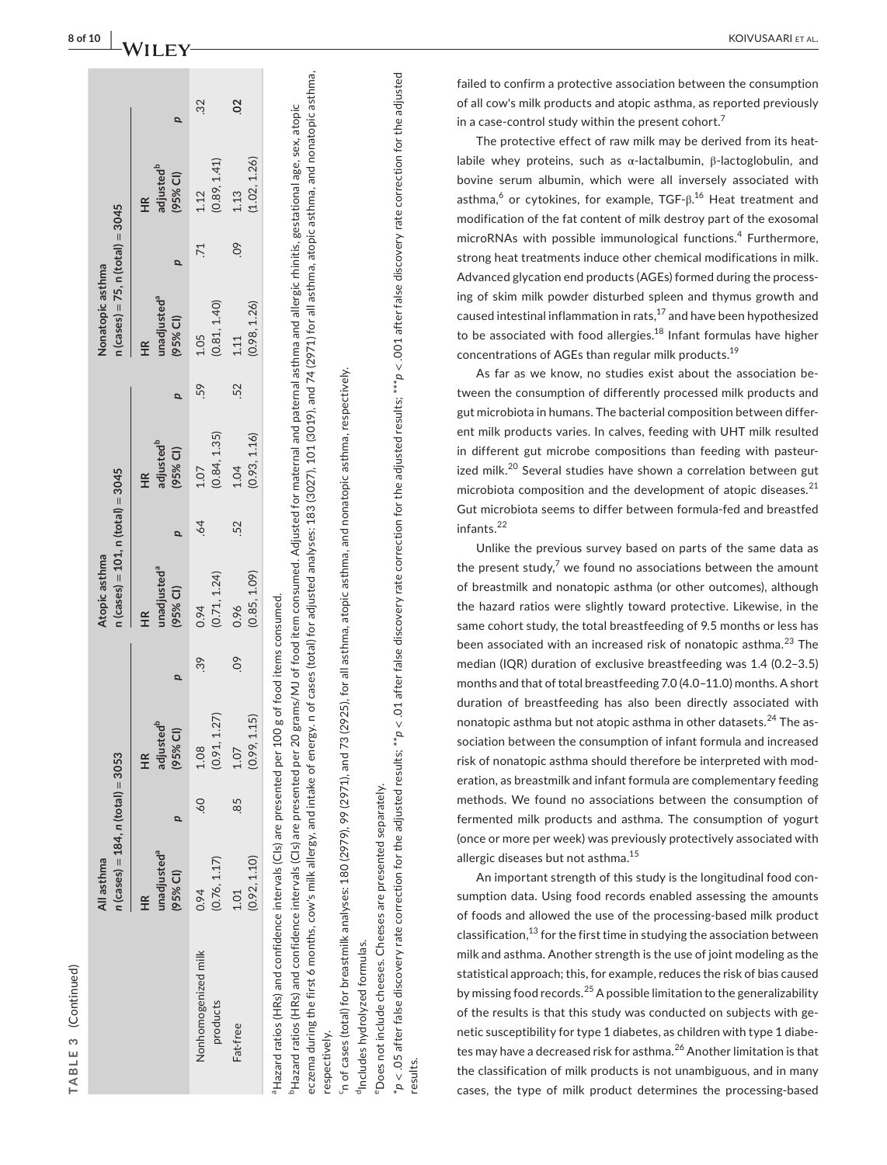|   | ֚֚֚֬ |
|---|------|
|   | Ξ    |
|   |      |
|   |      |
| c | ר    |
| í |      |
|   |      |
|   |      |

|                                 | $n$ (cases) = 184, $n$ (total) = 3053<br>All asthma         |      |                                         |     | $n$ (cases) = 101, $n$ (total) = 3045<br>Atopic asthma |                 |                                              |     | $n (cases) = 75, n (total) = 3045$<br>Nonatopic asthma      |                 |                                                        |                |
|---------------------------------|-------------------------------------------------------------|------|-----------------------------------------|-----|--------------------------------------------------------|-----------------|----------------------------------------------|-----|-------------------------------------------------------------|-----------------|--------------------------------------------------------|----------------|
|                                 | unadjusted <sup>a</sup><br>(95% CI)<br>$\frac{\alpha}{\pm}$ |      | HR<br>adjusted <sup>b</sup><br>(95% CI) |     | unadjusted <sup>a</sup><br>(95% CI)                    |                 | adjusted <sup>b</sup><br>(95% CI)<br>HR<br>H |     | unadjusted <sup>a</sup><br>(95% CI)<br>$\frac{\alpha}{\pi}$ |                 | adjusted <sup>b</sup><br>(95% CI)<br>$\widetilde{\Xi}$ |                |
| Nonhomogenized milk<br>products | (0.76, 1.17)<br>0.94                                        | - 60 | 1.27)<br>$1.08$<br>$(0.91, 1)$          | .39 | (0.71, 1.24)<br>0.94                                   | $\overline{64}$ | (0.84, 1.35)<br>1.07                         | .59 | (0.81, 1.40)<br>1.05                                        | $\overline{71}$ | (0.89, 1.41)<br>1.12                                   | 32             |
| Fat-free                        | (0.92, 1.10)<br>1.01                                        | 85   | 1.15<br>(0.99, 1)<br>1.07               | 60  | (0.85, 1.09)<br>0.96                                   | 52              | (0.93, 1.16)<br>1.04                         | 52  | (0.98, 1.26)<br>1.11                                        | $\overline{0}$  | (1.02, 1.26)<br>1.13                                   | $\overline{0}$ |
|                                 | $\ddot{ }$                                                  |      |                                         |     |                                                        |                 |                                              |     |                                                             |                 |                                                        |                |

'Hazard ratios (HRs) and confidence intervals (Cls) are presented per 100 g of food items consumed. <code>Hazard</code> ratios (HRs) and confidence intervals (CIs) are presented per 100 g of food items consumed.

eczema during the first 6 months, cow's milk allergy, and intake of energy. n of cases (total) for adjusted analyses: 183 (3027), 101 (3019), and 74 (2971) for all asthma, atopic asthma, and nonatopic asthma, eczema during the first 6 months, cow's milk allergy, and intake of energy. n of cases (total) for adjusted analyses: 183 (3027), 101 (3019), and 74 (2971) for all asthma, atopic asthma, and nonatopic asthma, <sup>b</sup>Hazard ratios (HRs) and confidence intervals (CIs) are presented per 20 grams/MJ of food item consumed. Adjusted for maternal and paternal asthma and allergic rhinitis, gestational age, sex, atopic bHazard ratios (HRs) and confidence intervals (CIs) are presented per 20 grams/MJ of food item consumed. Adjusted for maternal and paternal asthma and allergic rhinitis, gestational age, sex, atopic respectively. respectively.

 $\gamma$  of cases (total) for breastmilk analyses: 180 (2979), 99 (2971), and 73 (2925), for all asthma, atopic asthma, and nonatopic asthma, respectively. cn of cases (total) for breastmilk analyses: 180 (2979), 99 (2971), and 73 (2925), for all asthma, atopic asthma, and nonatopic asthma, respectively.

<sup>d</sup>Includes hydrolyzed formulas. <sup>d</sup>Includes hydrolyzed formulas.

 $^* \rho$  < .05 after false discovery rate correction for the adjusted results;  $^* \rho$  < .01 after false discovery rate correction for the adjusted results;  $^* \rho$  < .01 after false discovery rate correction for the adjusted  $^*$ p < .05 after false discovery rate correction for the adjusted results;  $^*$ p < .01 after false discovery rate correction for the adjusted results;  $^*$ p < .01 after false discovery rate correction for the adjusted <sup>e</sup>Does not include cheeses. Cheeses are presented separately. eDoes not include cheeses. Cheeses are presented separately. results.

failed to confirm a protective association between the consumption of all cow's milk products and atopic asthma, as reported previously in a case-control study within the present cohort.<sup>7</sup>

The protective effect of raw milk may be derived from its heatlabile whey proteins, such as α-lactalbumin, β-lactoglobulin, and bovine serum albumin, which were all inversely associated with asthma,<sup>6</sup> or cytokines, for example, TGF-β.<sup>16</sup> Heat treatment and modification of the fat content of milk destroy part of the exosomal microRNAs with possible immunological functions. 4 Furthermore, strong heat treatments induce other chemical modifications in milk. Advanced glycation end products (AGEs) formed during the process ing of skim milk powder disturbed spleen and thymus growth and caused intestinal inflammation in rats,  $17$  and have been hypothesized to be associated with food allergies.<sup>18</sup> Infant formulas have higher concentrations of AGEs than regular milk products.<sup>19</sup>

As far as we know, no studies exist about the association be tween the consumption of differently processed milk products and gut microbiota in humans. The bacterial composition between differ ent milk products varies. In calves, feeding with UHT milk resulted in different gut microbe compositions than feeding with pasteur ized milk.<sup>20</sup> Several studies have shown a correlation between gut microbiota composition and the development of atopic diseases. $^{21}$ Gut microbiota seems to differ between formula-fed and breastfed infants.<sup>22</sup>

Unlike the previous survey based on parts of the same data as the present study, $7$  we found no associations between the amount of breastmilk and nonatopic asthma (or other outcomes), although the hazard ratios were slightly toward protective. Likewise, in the same cohort study, the total breastfeeding of 9.5 months or less has been associated with an increased risk of nonatopic asthma.<sup>23</sup> The median (IQR) duration of exclusive breastfeeding was 1.4 (0.2–3.5) months and that of total breastfeeding 7.0 (4.0–11.0) months. A short duration of breastfeeding has also been directly associated with nonatopic asthma but not atopic asthma in other datasets.<sup>24</sup> The association between the consumption of infant formula and increased risk of nonatopic asthma should therefore be interpreted with mod eration, as breastmilk and infant formula are complementary feeding methods. We found no associations between the consumption of fermented milk products and asthma. The consumption of yogurt (once or more per week) was previously protectively associated with allergic diseases but not asthma.<sup>15</sup>

An important strength of this study is the longitudinal food con sumption data. Using food records enabled assessing the amounts of foods and allowed the use of the processing-based milk product classification, $^{13}$  for the first time in studying the association between milk and asthma. Another strength is the use of joint modeling as the statistical approach; this, for example, reduces the risk of bias caused by missing food records.<sup>25</sup> A possible limitation to the generalizability of the results is that this study was conducted on subjects with ge netic susceptibility for type 1 diabetes, as children with type 1 diabe tes may have a decreased risk for asthma.<sup>26</sup> Another limitation is that the classification of milk products is not unambiguous, and in many cases, the type of milk product determines the processing-based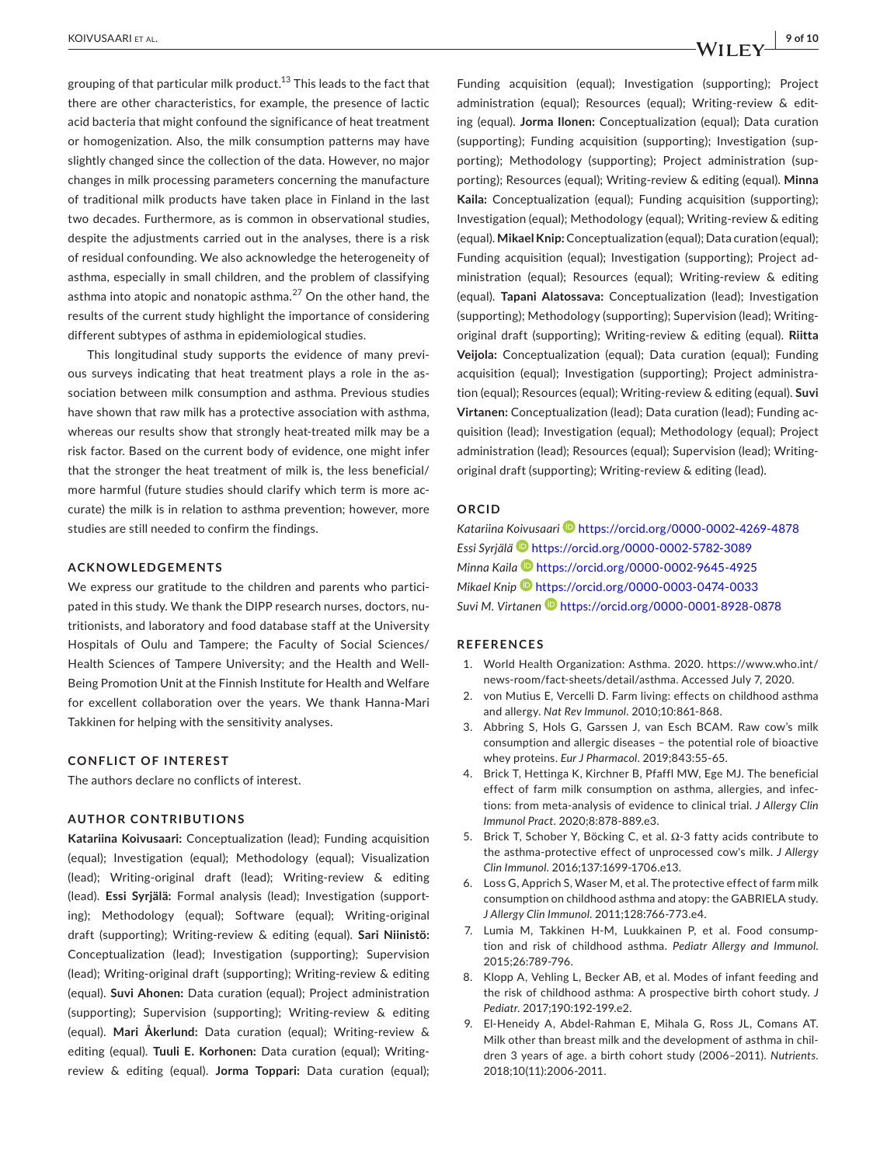grouping of that particular milk product.<sup>13</sup> This leads to the fact that there are other characteristics, for example, the presence of lactic acid bacteria that might confound the significance of heat treatment or homogenization. Also, the milk consumption patterns may have slightly changed since the collection of the data. However, no major changes in milk processing parameters concerning the manufacture of traditional milk products have taken place in Finland in the last two decades. Furthermore, as is common in observational studies, despite the adjustments carried out in the analyses, there is a risk of residual confounding. We also acknowledge the heterogeneity of asthma, especially in small children, and the problem of classifying asthma into atopic and nonatopic asthma.<sup>27</sup> On the other hand, the results of the current study highlight the importance of considering

This longitudinal study supports the evidence of many previous surveys indicating that heat treatment plays a role in the association between milk consumption and asthma. Previous studies have shown that raw milk has a protective association with asthma, whereas our results show that strongly heat-treated milk may be a risk factor. Based on the current body of evidence, one might infer that the stronger the heat treatment of milk is, the less beneficial/ more harmful (future studies should clarify which term is more accurate) the milk is in relation to asthma prevention; however, more studies are still needed to confirm the findings.

different subtypes of asthma in epidemiological studies.

### **ACKNOWLEDGEMENTS**

We express our gratitude to the children and parents who participated in this study. We thank the DIPP research nurses, doctors, nutritionists, and laboratory and food database staff at the University Hospitals of Oulu and Tampere; the Faculty of Social Sciences/ Health Sciences of Tampere University; and the Health and Well-Being Promotion Unit at the Finnish Institute for Health and Welfare for excellent collaboration over the years. We thank Hanna-Mari Takkinen for helping with the sensitivity analyses.

### **CONFLICT OF INTEREST**

The authors declare no conflicts of interest.

### **AUTHOR CONTRIBUTIONS**

**Katariina Koivusaari:** Conceptualization (lead); Funding acquisition (equal); Investigation (equal); Methodology (equal); Visualization (lead); Writing-original draft (lead); Writing-review & editing (lead). **Essi Syrjälä:** Formal analysis (lead); Investigation (supporting); Methodology (equal); Software (equal); Writing-original draft (supporting); Writing-review & editing (equal). **Sari Niinistö:** Conceptualization (lead); Investigation (supporting); Supervision (lead); Writing-original draft (supporting); Writing-review & editing (equal). **Suvi Ahonen:** Data curation (equal); Project administration (supporting); Supervision (supporting); Writing-review & editing (equal). **Mari Åkerlund:** Data curation (equal); Writing-review & editing (equal). **Tuuli E. Korhonen:** Data curation (equal); Writingreview & editing (equal). **Jorma Toppari:** Data curation (equal);

Funding acquisition (equal); Investigation (supporting); Project administration (equal); Resources (equal); Writing-review & editing (equal). **Jorma Ilonen:** Conceptualization (equal); Data curation (supporting); Funding acquisition (supporting); Investigation (supporting); Methodology (supporting); Project administration (supporting); Resources (equal); Writing-review & editing (equal). **Minna Kaila:** Conceptualization (equal); Funding acquisition (supporting); Investigation (equal); Methodology (equal); Writing-review & editing (equal). **Mikael Knip:** Conceptualization (equal); Data curation (equal); Funding acquisition (equal); Investigation (supporting); Project administration (equal); Resources (equal); Writing-review & editing (equal). **Tapani Alatossava:** Conceptualization (lead); Investigation (supporting); Methodology (supporting); Supervision (lead); Writingoriginal draft (supporting); Writing-review & editing (equal). **Riitta Veijola:** Conceptualization (equal); Data curation (equal); Funding acquisition (equal); Investigation (supporting); Project administration (equal); Resources (equal); Writing-review & editing (equal). **Suvi Virtanen:** Conceptualization (lead); Data curation (lead); Funding acquisition (lead); Investigation (equal); Methodology (equal); Project administration (lead); Resources (equal); Supervision (lead); Writingoriginal draft (supporting); Writing-review & editing (lead).

### **ORCID**

Katariina Koivusaari<sup><sup>1</sup> <https://orcid.org/0000-0002-4269-4878></sup> *Essi Syrjäl[ä](https://orcid.org/0000-0002-5782-3089)* <https://orcid.org/0000-0002-5782-3089> *Minna Kaila* <https://orcid.org/0000-0002-9645-4925> *Mikael Knip* <https://orcid.org/0000-0003-0474-0033> *Suvi M. Virtanen* <https://orcid.org/0000-0001-8928-0878>

### **REFERENCES**

- 1. World Health Organization: Asthma. 2020. [https://www.who.int/](https://www.who.int/news-room/fact-sheets/detail/asthma) [news-room/fact-sheets/detail/asthma.](https://www.who.int/news-room/fact-sheets/detail/asthma) Accessed July 7, 2020.
- 2. von Mutius E, Vercelli D. Farm living: effects on childhood asthma and allergy. *Nat Rev Immunol*. 2010;10:861-868.
- 3. Abbring S, Hols G, Garssen J, van Esch BCAM. Raw cow's milk consumption and allergic diseases – the potential role of bioactive whey proteins. *Eur J Pharmacol*. 2019;843:55-65.
- 4. Brick T, Hettinga K, Kirchner B, Pfaffl MW, Ege MJ. The beneficial effect of farm milk consumption on asthma, allergies, and infections: from meta-analysis of evidence to clinical trial. *J Allergy Clin Immunol Pract*. 2020;8:878-889.e3.
- 5. Brick T, Schober Y, Böcking C, et al. Ω-3 fatty acids contribute to the asthma-protective effect of unprocessed cow's milk. *J Allergy Clin Immunol*. 2016;137:1699-1706.e13.
- 6. Loss G, Apprich S, Waser M, et al. The protective effect of farm milk consumption on childhood asthma and atopy: the GABRIELA study. *J Allergy Clin Immunol*. 2011;128:766-773.e4.
- 7. Lumia M, Takkinen H-M, Luukkainen P, et al. Food consumption and risk of childhood asthma. *Pediatr Allergy and Immunol*. 2015;26:789-796.
- 8. Klopp A, Vehling L, Becker AB, et al. Modes of infant feeding and the risk of childhood asthma: A prospective birth cohort study. *J Pediatr*. 2017;190:192-199.e2.
- 9. El-Heneidy A, Abdel-Rahman E, Mihala G, Ross JL, Comans AT. Milk other than breast milk and the development of asthma in children 3 years of age. a birth cohort study (2006–2011). *Nutrients*. 2018;10(11):2006-2011.